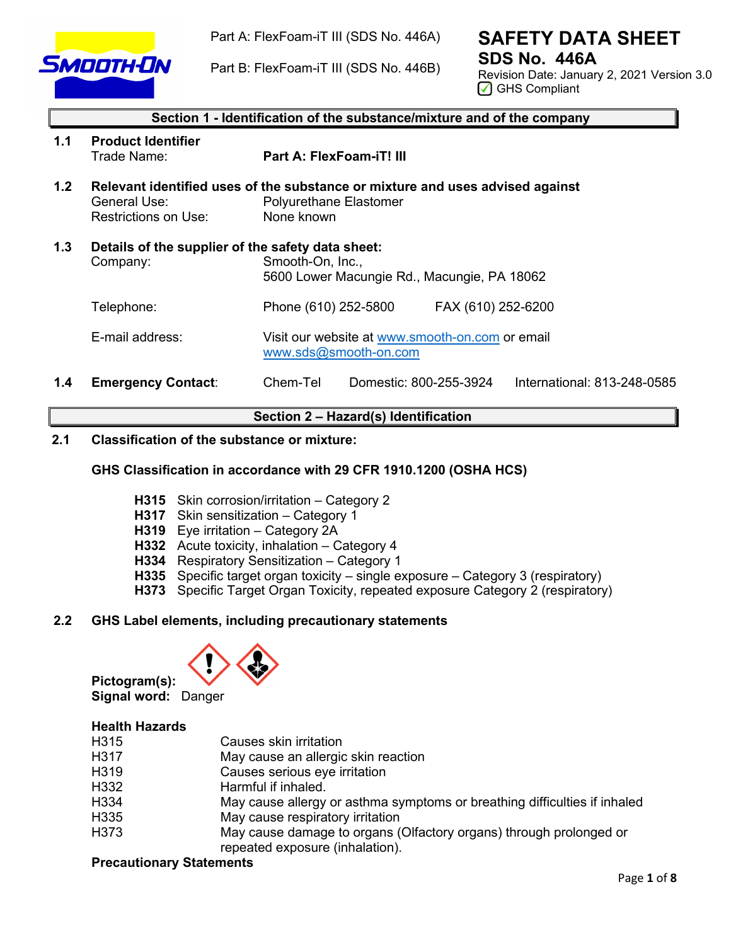

Part A: FlexFoam-iT III (SDS No. 446A)

Part B: FlexFoam-iT III (SDS No. 446B)

# **SAFETY DATA SHEET SDS No. 446A**

Revision Date: January 2, 2021 Version 3.0 ◯ GHS Compliant

|                  | Section 1 - Identification of the substance/mixture and of the company |                                                                                                                              |  |
|------------------|------------------------------------------------------------------------|------------------------------------------------------------------------------------------------------------------------------|--|
| 1.1              | <b>Product Identifier</b><br>Trade Name:                               | Part A: FlexFoam-iT! III                                                                                                     |  |
| 1.2 <sub>2</sub> | General Use:<br>Restrictions on Use:                                   | Relevant identified uses of the substance or mixture and uses advised against<br><b>Polyurethane Elastomer</b><br>None known |  |
| 1.3              | Details of the supplier of the safety data sheet:<br>Company:          | Smooth-On, Inc.,<br>5600 Lower Macungie Rd., Macungie, PA 18062                                                              |  |
|                  | Telephone:                                                             | Phone (610) 252-5800<br>FAX (610) 252-6200                                                                                   |  |
|                  | E-mail address:                                                        | Visit our website at www.smooth-on.com or email<br>www.sds@smooth-on.com                                                     |  |
| 1.4              | <b>Emergency Contact:</b>                                              | Chem-Tel<br>Domestic: 800-255-3924<br>International: 813-248-0585                                                            |  |

# **Section 2 – Hazard(s) Identification**

# **2.1 Classification of the substance or mixture:**

# **GHS Classification in accordance with 29 CFR 1910.1200 (OSHA HCS)**

- **H315** Skin corrosion/irritation Category 2
- **H317** Skin sensitization Category 1
- **H319** Eye irritation Category 2A
- **H332** Acute toxicity, inhalation Category 4
- **H334** Respiratory Sensitization Category 1
- **H335** Specific target organ toxicity single exposure Category 3 (respiratory)
- **H373** Specific Target Organ Toxicity, repeated exposure Category 2 (respiratory)

# **2.2 GHS Label elements, including precautionary statements**



**Pictogram(s): Signal word:** Danger

# **Health Hazards**

| H315 | Causes skin irritation                                                    |
|------|---------------------------------------------------------------------------|
| H317 | May cause an allergic skin reaction                                       |
| H319 | Causes serious eye irritation                                             |
| H332 | Harmful if inhaled.                                                       |
| H334 | May cause allergy or asthma symptoms or breathing difficulties if inhaled |
| H335 | May cause respiratory irritation                                          |
| H373 | May cause damage to organs (Olfactory organs) through prolonged or        |
|      | repeated exposure (inhalation).                                           |

#### **Precautionary Statements**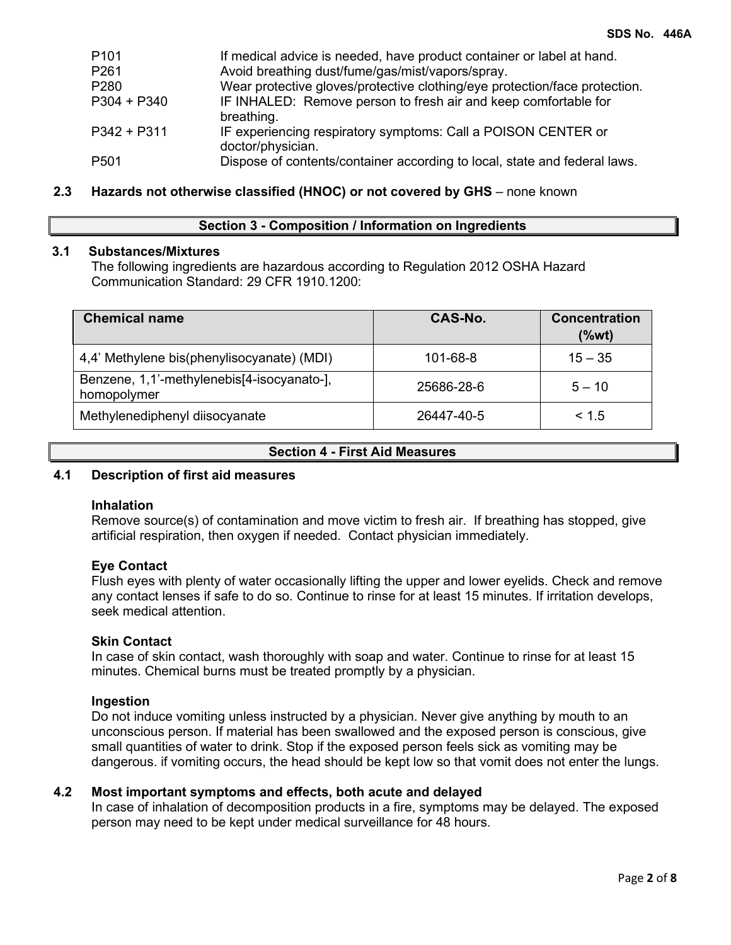| P <sub>101</sub> | If medical advice is needed, have product container or label at hand.              |
|------------------|------------------------------------------------------------------------------------|
| P261             | Avoid breathing dust/fume/gas/mist/vapors/spray.                                   |
| P280             | Wear protective gloves/protective clothing/eye protection/face protection.         |
| P304 + P340      | IF INHALED: Remove person to fresh air and keep comfortable for<br>breathing.      |
| P342 + P311      | IF experiencing respiratory symptoms: Call a POISON CENTER or<br>doctor/physician. |
| P <sub>501</sub> | Dispose of contents/container according to local, state and federal laws.          |

# **2.3 Hazards not otherwise classified (HNOC) or not covered by GHS** – none known

## **Section 3 - Composition / Information on Ingredients**

# **3.1 Substances/Mixtures**

The following ingredients are hazardous according to Regulation 2012 OSHA Hazard Communication Standard: 29 CFR 1910.1200:

| <b>Chemical name</b>                                      | CAS-No.    | <b>Concentration</b><br>(%wt) |
|-----------------------------------------------------------|------------|-------------------------------|
| 4,4' Methylene bis(phenylisocyanate) (MDI)                | 101-68-8   | $15 - 35$                     |
| Benzene, 1,1'-methylenebis[4-isocyanato-],<br>homopolymer | 25686-28-6 | $5 - 10$                      |
| Methylenediphenyl diisocyanate                            | 26447-40-5 | < 1.5                         |

#### **Section 4 - First Aid Measures**

# **4.1 Description of first aid measures**

# **Inhalation**

Remove source(s) of contamination and move victim to fresh air. If breathing has stopped, give artificial respiration, then oxygen if needed. Contact physician immediately.

## **Eye Contact**

Flush eyes with plenty of water occasionally lifting the upper and lower eyelids. Check and remove any contact lenses if safe to do so. Continue to rinse for at least 15 minutes. If irritation develops, seek medical attention.

#### **Skin Contact**

In case of skin contact, wash thoroughly with soap and water. Continue to rinse for at least 15 minutes. Chemical burns must be treated promptly by a physician.

#### **Ingestion**

Do not induce vomiting unless instructed by a physician. Never give anything by mouth to an unconscious person. If material has been swallowed and the exposed person is conscious, give small quantities of water to drink. Stop if the exposed person feels sick as vomiting may be dangerous. if vomiting occurs, the head should be kept low so that vomit does not enter the lungs.

## **4.2 Most important symptoms and effects, both acute and delayed**

In case of inhalation of decomposition products in a fire, symptoms may be delayed. The exposed person may need to be kept under medical surveillance for 48 hours.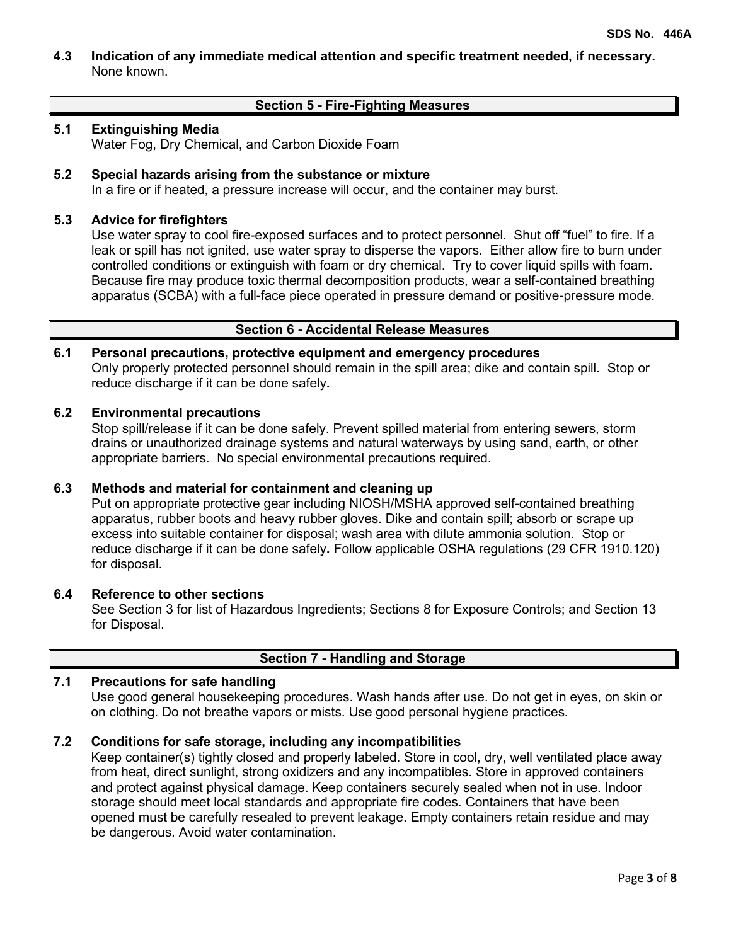**4.3 Indication of any immediate medical attention and specific treatment needed, if necessary.** None known.

# **Section 5 - Fire-Fighting Measures**

# **5.1 Extinguishing Media**

Water Fog, Dry Chemical, and Carbon Dioxide Foam

# **5.2 Special hazards arising from the substance or mixture**

In a fire or if heated, a pressure increase will occur, and the container may burst.

# **5.3 Advice for firefighters**

Use water spray to cool fire-exposed surfaces and to protect personnel. Shut off "fuel" to fire. If a leak or spill has not ignited, use water spray to disperse the vapors. Either allow fire to burn under controlled conditions or extinguish with foam or dry chemical. Try to cover liquid spills with foam. Because fire may produce toxic thermal decomposition products, wear a self-contained breathing apparatus (SCBA) with a full-face piece operated in pressure demand or positive-pressure mode.

# **Section 6 - Accidental Release Measures**

# **6.1 Personal precautions, protective equipment and emergency procedures**

Only properly protected personnel should remain in the spill area; dike and contain spill. Stop or reduce discharge if it can be done safely**.**

# **6.2 Environmental precautions**

Stop spill/release if it can be done safely. Prevent spilled material from entering sewers, storm drains or unauthorized drainage systems and natural waterways by using sand, earth, or other appropriate barriers.No special environmental precautions required.

# **6.3 Methods and material for containment and cleaning up**

Put on appropriate protective gear including NIOSH/MSHA approved self-contained breathing apparatus, rubber boots and heavy rubber gloves. Dike and contain spill; absorb or scrape up excess into suitable container for disposal; wash area with dilute ammonia solution. Stop or reduce discharge if it can be done safely**.** Follow applicable OSHA regulations (29 CFR 1910.120) for disposal.

# **6.4 Reference to other sections**

See Section 3 for list of Hazardous Ingredients; Sections 8 for Exposure Controls; and Section 13 for Disposal.

# **Section 7 - Handling and Storage**

# **7.1 Precautions for safe handling**

Use good general housekeeping procedures. Wash hands after use. Do not get in eyes, on skin or on clothing. Do not breathe vapors or mists. Use good personal hygiene practices.

# **7.2 Conditions for safe storage, including any incompatibilities**

Keep container(s) tightly closed and properly labeled. Store in cool, dry, well ventilated place away from heat, direct sunlight, strong oxidizers and any incompatibles. Store in approved containers and protect against physical damage. Keep containers securely sealed when not in use. Indoor storage should meet local standards and appropriate fire codes. Containers that have been opened must be carefully resealed to prevent leakage. Empty containers retain residue and may be dangerous. Avoid water contamination.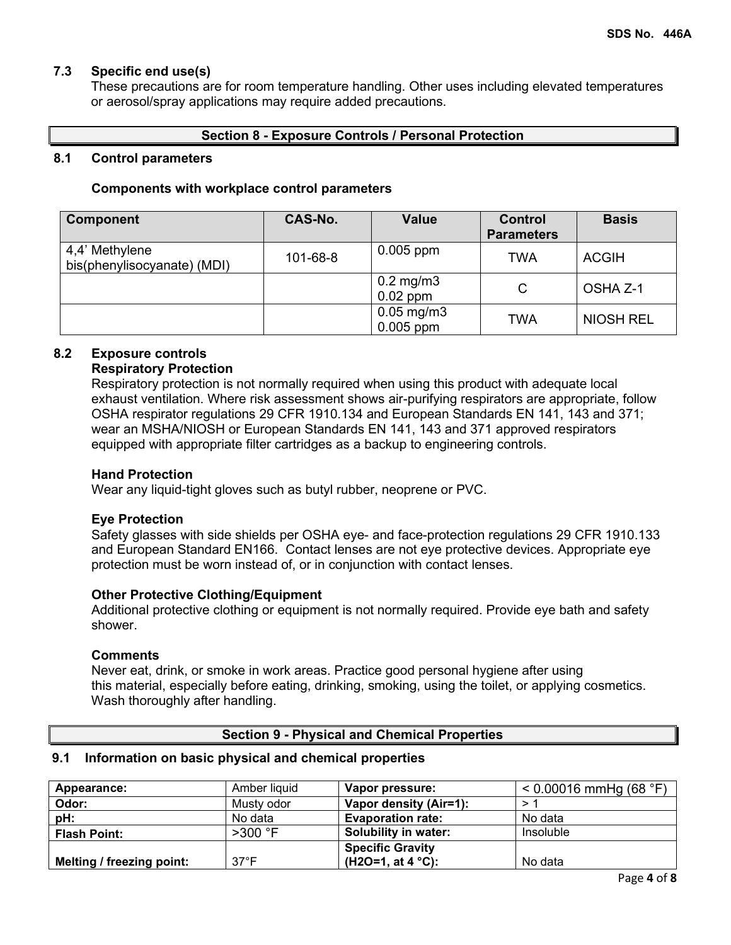# **7.3 Specific end use(s)**

These precautions are for room temperature handling. Other uses including elevated temperatures or aerosol/spray applications may require added precautions.

# **Section 8 - Exposure Controls / Personal Protection**

## **8.1 Control parameters**

## **Components with workplace control parameters**

| <b>Component</b>                              | <b>CAS-No.</b> | <b>Value</b>                           | <b>Control</b><br><b>Parameters</b> | <b>Basis</b>     |
|-----------------------------------------------|----------------|----------------------------------------|-------------------------------------|------------------|
| 4,4' Methylene<br>bis(phenylisocyanate) (MDI) | 101-68-8       | $0.005$ ppm                            | TWA                                 | <b>ACGIH</b>     |
|                                               |                | $0.2$ mg/m $3$<br>$0.02$ ppm           | C                                   | OSHA Z-1         |
|                                               |                | $0.05 \,\mathrm{mg/m3}$<br>$0.005$ ppm | TWA                                 | <b>NIOSH REL</b> |

# **8.2 Exposure controls**

# **Respiratory Protection**

Respiratory protection is not normally required when using this product with adequate local exhaust ventilation. Where risk assessment shows air-purifying respirators are appropriate, follow OSHA respirator regulations 29 CFR 1910.134 and European Standards EN 141, 143 and 371; wear an MSHA/NIOSH or European Standards EN 141, 143 and 371 approved respirators equipped with appropriate filter cartridges as a backup to engineering controls.

## **Hand Protection**

Wear any liquid-tight gloves such as butyl rubber, neoprene or PVC.

# **Eye Protection**

Safety glasses with side shields per OSHA eye- and face-protection regulations 29 CFR 1910.133 and European Standard EN166. Contact lenses are not eye protective devices. Appropriate eye protection must be worn instead of, or in conjunction with contact lenses.

# **Other Protective Clothing/Equipment**

Additional protective clothing or equipment is not normally required. Provide eye bath and safety shower.

## **Comments**

Never eat, drink, or smoke in work areas. Practice good personal hygiene after using this material, especially before eating, drinking, smoking, using the toilet, or applying cosmetics. Wash thoroughly after handling.

# **Section 9 - Physical and Chemical Properties**

#### **9.1 Information on basic physical and chemical properties**

| Appearance:               | Amber liquid   | Vapor pressure:             | $< 0.00016$ mmHg (68 °F) |
|---------------------------|----------------|-----------------------------|--------------------------|
| Odor:                     | Musty odor     | Vapor density (Air=1):      |                          |
| pH:                       | No data        | <b>Evaporation rate:</b>    | No data                  |
| <b>Flash Point:</b>       | $>300$ °F      | Solubility in water:        | Insoluble                |
|                           |                | <b>Specific Gravity</b>     |                          |
| Melting / freezing point: | $37^{\circ}$ F | (H2O=1, at 4 $^{\circ}$ C): | No data                  |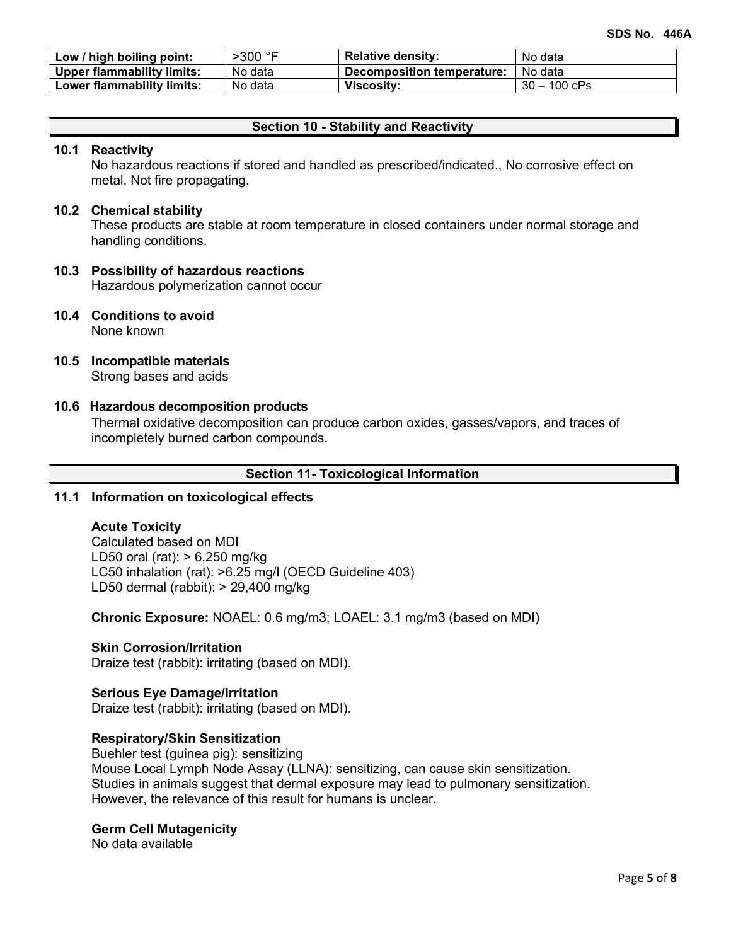| Low / high boiling point:         | $>300$ $\degree$ F | <b>Relative density:</b>   | No data        |
|-----------------------------------|--------------------|----------------------------|----------------|
| <b>Upper flammability limits:</b> | No data            | Decomposition temperature: | No data        |
| Lower flammability limits:        | No data            | <b>Viscosity:</b>          | $30 - 100$ cPs |

## **Section 10 - Stability and Reactivity**

#### **10.1 Reactivity**

No hazardous reactions if stored and handled as prescribed/indicated., No corrosive effect on metal. Not fire propagating.

## **10.2 Chemical stability**

These products are stable at room temperature in closed containers under normal storage and handling conditions.

# **10.3 Possibility of hazardous reactions**

Hazardous polymerization cannot occur

- **10.4 Conditions to avoid** None known
- **10.5 Incompatible materials** Strong bases and acids

# **10.6 Hazardous decomposition products**

Thermal oxidative decomposition can produce carbon oxides, gasses/vapors, and traces of incompletely burned carbon compounds.

### **Section 11- Toxicological Information**

# **11.1 Information on toxicological effects**

#### **Acute Toxicity**

Calculated based on MDI LD50 oral (rat): > 6,250 mg/kg LC50 inhalation (rat): >6.25 mg/l (OECD Guideline 403) LD50 dermal (rabbit): > 29,400 mg/kg

**Chronic Exposure:** NOAEL: 0.6 mg/m3; LOAEL: 3.1 mg/m3 (based on MDI)

#### **Skin Corrosion/Irritation**

Draize test (rabbit): irritating (based on MDI).

### **Serious Eye Damage/Irritation**

Draize test (rabbit): irritating (based on MDI).

## **Respiratory/Skin Sensitization**

Buehler test (guinea pig): sensitizing Mouse Local Lymph Node Assay (LLNA): sensitizing, can cause skin sensitization. Studies in animals suggest that dermal exposure may lead to pulmonary sensitization. However, the relevance of this result for humans is unclear.

#### **Germ Cell Mutagenicity**

No data available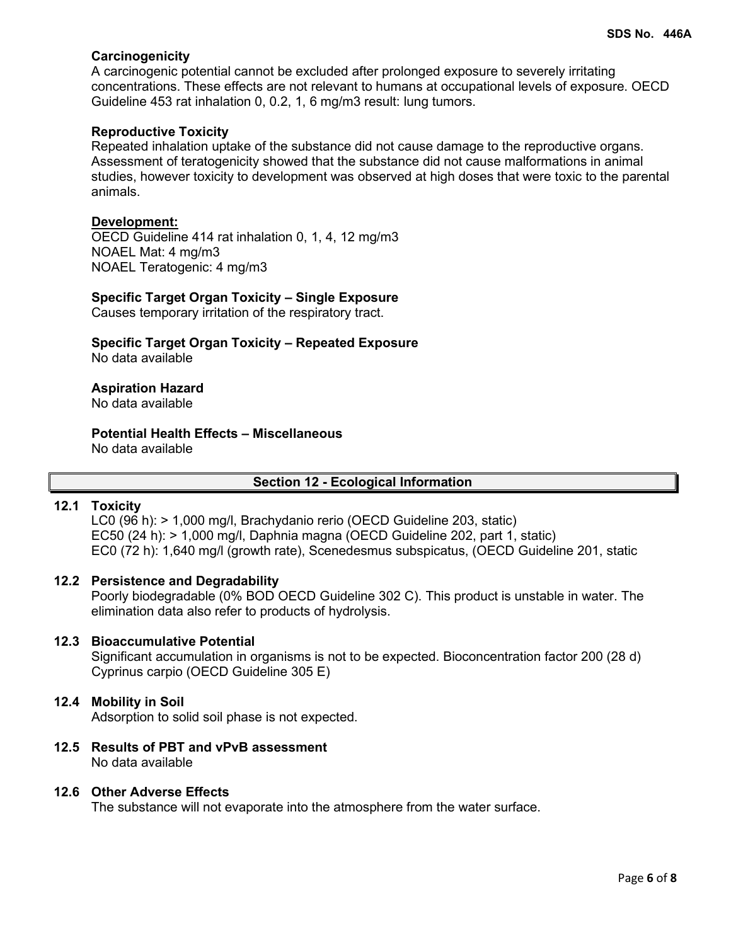# **Carcinogenicity**

A carcinogenic potential cannot be excluded after prolonged exposure to severely irritating concentrations. These effects are not relevant to humans at occupational levels of exposure. OECD Guideline 453 rat inhalation 0, 0.2, 1, 6 mg/m3 result: lung tumors.

# **Reproductive Toxicity**

Repeated inhalation uptake of the substance did not cause damage to the reproductive organs. Assessment of teratogenicity showed that the substance did not cause malformations in animal studies, however toxicity to development was observed at high doses that were toxic to the parental animals.

## **Development:**

OECD Guideline 414 rat inhalation 0, 1, 4, 12 mg/m3 NOAEL Mat: 4 mg/m3 NOAEL Teratogenic: 4 mg/m3

# **Specific Target Organ Toxicity – Single Exposure**

Causes temporary irritation of the respiratory tract.

**Specific Target Organ Toxicity – Repeated Exposure** No data available

# **Aspiration Hazard**

No data available

#### **Potential Health Effects – Miscellaneous** No data available

# **Section 12 - Ecological Information**

# **12.1 Toxicity**

LC0 (96 h): > 1,000 mg/l, Brachydanio rerio (OECD Guideline 203, static) EC50 (24 h): > 1,000 mg/l, Daphnia magna (OECD Guideline 202, part 1, static) EC0 (72 h): 1,640 mg/l (growth rate), Scenedesmus subspicatus, (OECD Guideline 201, static

# **12.2 Persistence and Degradability**

Poorly biodegradable (0% BOD OECD Guideline 302 C). This product is unstable in water. The elimination data also refer to products of hydrolysis.

# **12.3 Bioaccumulative Potential**

Significant accumulation in organisms is not to be expected. Bioconcentration factor 200 (28 d) Cyprinus carpio (OECD Guideline 305 E)

# **12.4 Mobility in Soil**

Adsorption to solid soil phase is not expected.

**12.5 Results of PBT and vPvB assessment** No data available

## **12.6 Other Adverse Effects**

The substance will not evaporate into the atmosphere from the water surface.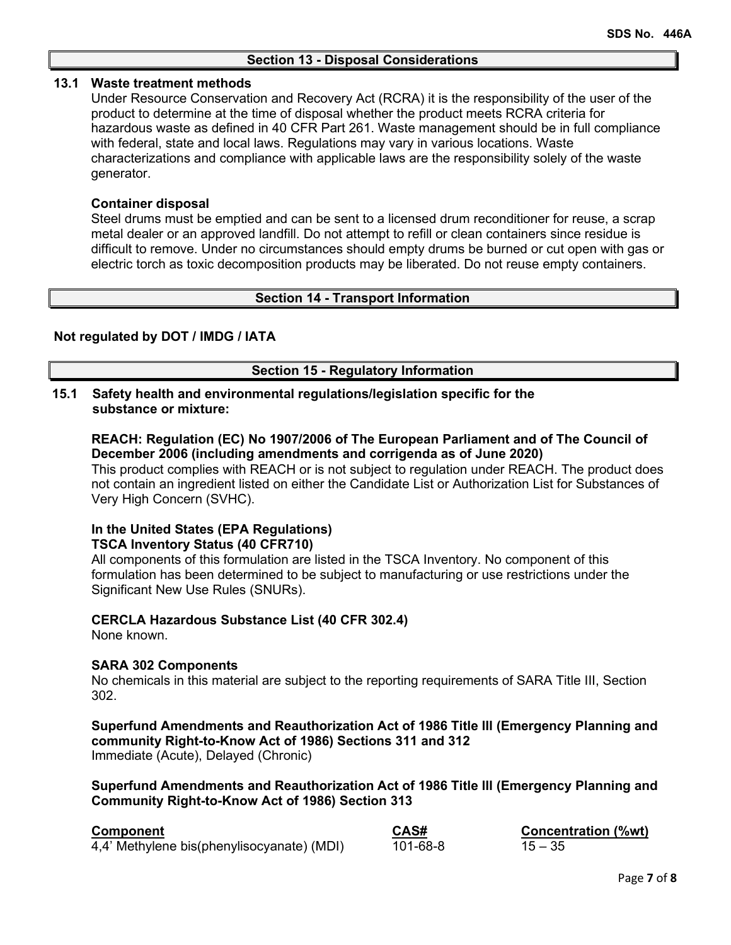## **13.1 Waste treatment methods**

Under Resource Conservation and Recovery Act (RCRA) it is the responsibility of the user of the product to determine at the time of disposal whether the product meets RCRA criteria for hazardous waste as defined in 40 CFR Part 261. Waste management should be in full compliance with federal, state and local laws. Regulations may vary in various locations. Waste characterizations and compliance with applicable laws are the responsibility solely of the waste generator.

# **Container disposal**

Steel drums must be emptied and can be sent to a licensed drum reconditioner for reuse, a scrap metal dealer or an approved landfill. Do not attempt to refill or clean containers since residue is difficult to remove. Under no circumstances should empty drums be burned or cut open with gas or electric torch as toxic decomposition products may be liberated. Do not reuse empty containers.

## **Section 14 - Transport Information**

## **Not regulated by DOT / IMDG / IATA**

## **Section 15 - Regulatory Information**

# **15.1 Safety health and environmental regulations/legislation specific for the substance or mixture:**

**REACH: Regulation (EC) No 1907/2006 of The European Parliament and of The Council of December 2006 (including amendments and corrigenda as of June 2020)**

This product complies with REACH or is not subject to regulation under REACH. The product does not contain an ingredient listed on either the Candidate List or Authorization List for Substances of Very High Concern (SVHC).

## **In the United States (EPA Regulations) TSCA Inventory Status (40 CFR710)**

All components of this formulation are listed in the TSCA Inventory. No component of this formulation has been determined to be subject to manufacturing or use restrictions under the Significant New Use Rules (SNURs).

# **CERCLA Hazardous Substance List (40 CFR 302.4)**

None known.

# **SARA 302 Components**

No chemicals in this material are subject to the reporting requirements of SARA Title III, Section 302.

## **Superfund Amendments and Reauthorization Act of 1986 Title lll (Emergency Planning and community Right-to-Know Act of 1986) Sections 311 and 312** Immediate (Acute), Delayed (Chronic)

**Superfund Amendments and Reauthorization Act of 1986 Title lll (Emergency Planning and Community Right-to-Know Act of 1986) Section 313**

| <b>Component</b>                           | CAS#     | <b>Concentration (%wt)</b> |
|--------------------------------------------|----------|----------------------------|
| 4,4' Methylene bis(phenylisocyanate) (MDI) | 101-68-8 | $15 - 35$                  |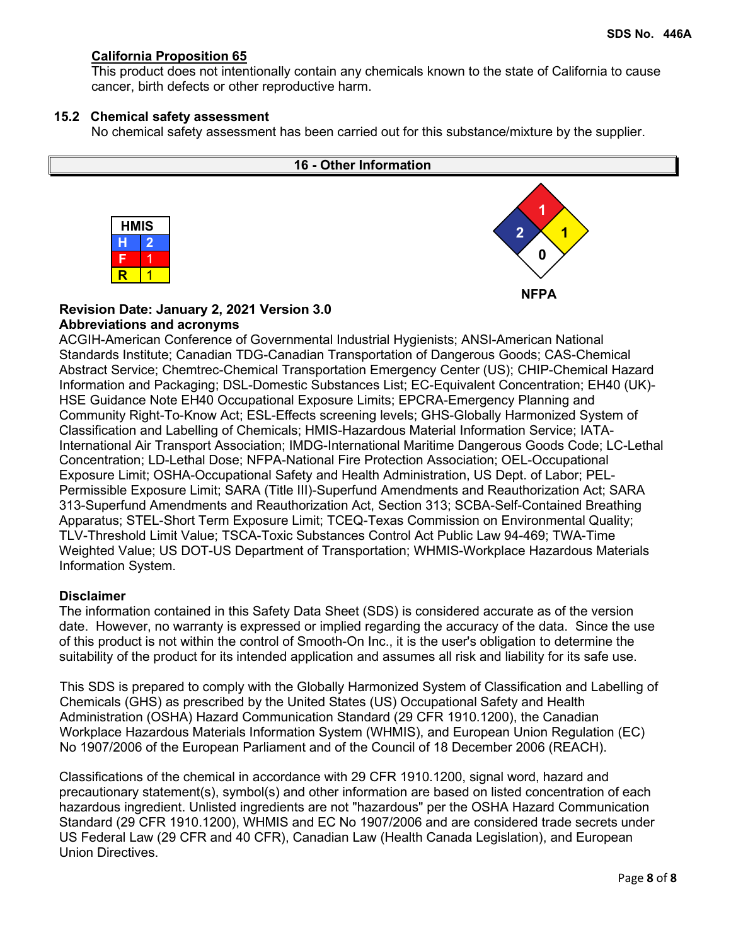# **California Proposition 65**

This product does not intentionally contain any chemicals known to the state of California to cause cancer, birth defects or other reproductive harm.

## **15.2 Chemical safety assessment**

No chemical safety assessment has been carried out for this substance/mixture by the supplier.



# **Revision Date: January 2, 2021 Version 3.0 Abbreviations and acronyms**

ACGIH-American Conference of Governmental Industrial Hygienists; ANSI-American National Standards Institute; Canadian TDG-Canadian Transportation of Dangerous Goods; CAS-Chemical Abstract Service; Chemtrec-Chemical Transportation Emergency Center (US); CHIP-Chemical Hazard Information and Packaging; DSL-Domestic Substances List; EC-Equivalent Concentration; EH40 (UK)- HSE Guidance Note EH40 Occupational Exposure Limits; EPCRA-Emergency Planning and Community Right-To-Know Act; ESL-Effects screening levels; GHS-Globally Harmonized System of Classification and Labelling of Chemicals; HMIS-Hazardous Material Information Service; IATA-International Air Transport Association; IMDG-International Maritime Dangerous Goods Code; LC-Lethal Concentration; LD-Lethal Dose; NFPA-National Fire Protection Association; OEL-Occupational Exposure Limit; OSHA-Occupational Safety and Health Administration, US Dept. of Labor; PEL-Permissible Exposure Limit; SARA (Title III)-Superfund Amendments and Reauthorization Act; SARA 313-Superfund Amendments and Reauthorization Act, Section 313; SCBA-Self-Contained Breathing Apparatus; STEL-Short Term Exposure Limit; TCEQ-Texas Commission on Environmental Quality; TLV-Threshold Limit Value; TSCA-Toxic Substances Control Act Public Law 94-469; TWA-Time Weighted Value; US DOT-US Department of Transportation; WHMIS-Workplace Hazardous Materials Information System.

# **Disclaimer**

The information contained in this Safety Data Sheet (SDS) is considered accurate as of the version date. However, no warranty is expressed or implied regarding the accuracy of the data. Since the use of this product is not within the control of Smooth-On Inc., it is the user's obligation to determine the suitability of the product for its intended application and assumes all risk and liability for its safe use.

This SDS is prepared to comply with the Globally Harmonized System of Classification and Labelling of Chemicals (GHS) as prescribed by the United States (US) Occupational Safety and Health Administration (OSHA) Hazard Communication Standard (29 CFR 1910.1200), the Canadian Workplace Hazardous Materials Information System (WHMIS), and European Union Regulation (EC) No 1907/2006 of the European Parliament and of the Council of 18 December 2006 (REACH).

Classifications of the chemical in accordance with 29 CFR 1910.1200, signal word, hazard and precautionary statement(s), symbol(s) and other information are based on listed concentration of each hazardous ingredient. Unlisted ingredients are not "hazardous" per the OSHA Hazard Communication Standard (29 CFR 1910.1200), WHMIS and EC No 1907/2006 and are considered trade secrets under US Federal Law (29 CFR and 40 CFR), Canadian Law (Health Canada Legislation), and European Union Directives.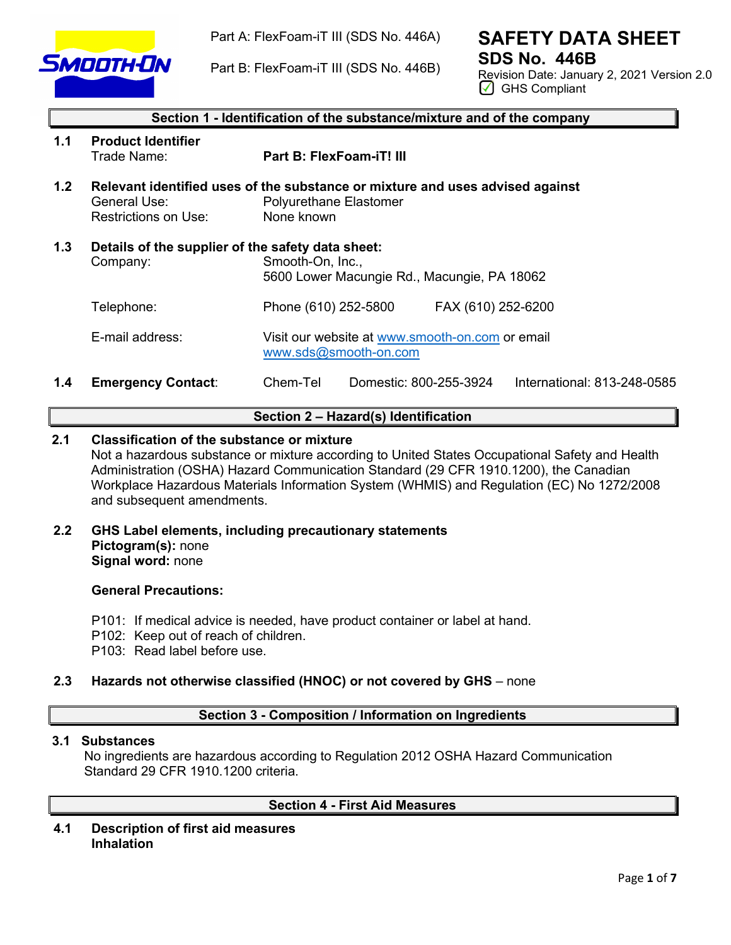

Part A: FlexFoam-iT III (SDS No. 446A)

Part B: FlexFoam-iT III (SDS No. 446B)

# **SAFETY DATA SHEET SDS No. 446B**

Revision Date: January 2, 2021 Version 2.0 GHS Compliant

|     | Section 1 - Identification of the substance/mixture and of the company |                                                                                                                       |  |  |
|-----|------------------------------------------------------------------------|-----------------------------------------------------------------------------------------------------------------------|--|--|
| 1.1 | <b>Product Identifier</b><br>Trade Name:                               | <b>Part B: FlexFoam-iT! III</b>                                                                                       |  |  |
| 1.2 | General Use:<br>Restrictions on Use:                                   | Relevant identified uses of the substance or mixture and uses advised against<br>Polyurethane Elastomer<br>None known |  |  |
| 1.3 | Details of the supplier of the safety data sheet:<br>Company:          | Smooth-On, Inc.,<br>5600 Lower Macungie Rd., Macungie, PA 18062                                                       |  |  |
|     | Telephone:                                                             | Phone (610) 252-5800<br>FAX (610) 252-6200                                                                            |  |  |
|     | E-mail address:                                                        | Visit our website at www.smooth-on.com or email<br>www.sds@smooth-on.com                                              |  |  |
| 1.4 | <b>Emergency Contact:</b>                                              | Chem-Tel<br>Domestic: 800-255-3924<br>International: 813-248-0585                                                     |  |  |

# **Section 2 – Hazard(s) Identification**

# **2.1 Classification of the substance or mixture**

Not a hazardous substance or mixture according to United States Occupational Safety and Health Administration (OSHA) Hazard Communication Standard (29 CFR 1910.1200), the Canadian Workplace Hazardous Materials Information System (WHMIS) and Regulation (EC) No 1272/2008 and subsequent amendments.

**2.2 GHS Label elements, including precautionary statements Pictogram(s):** none **Signal word:** none

### **General Precautions:**

- P101: If medical advice is needed, have product container or label at hand.
- P102: Keep out of reach of children.
- P103: Read label before use.

# **2.3 Hazards not otherwise classified (HNOC) or not covered by GHS** – none

# **Section 3 - Composition / Information on Ingredients**

# **3.1 Substances**

 No ingredients are hazardous according to Regulation 2012 OSHA Hazard Communication Standard 29 CFR 1910.1200 criteria.

# **Section 4 - First Aid Measures**

**4.1 Description of first aid measures Inhalation**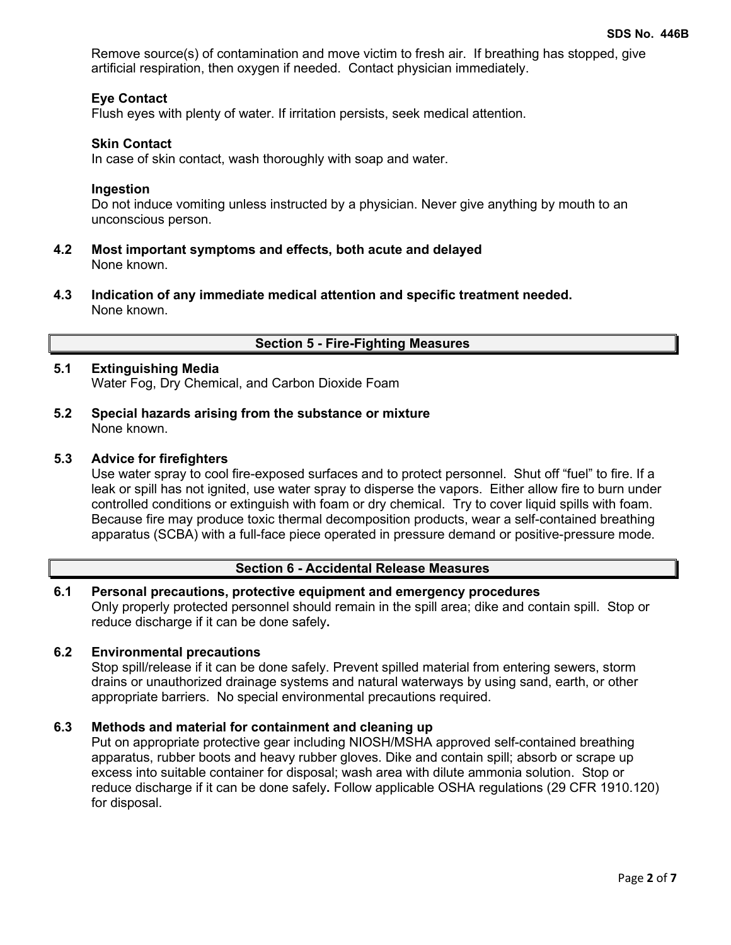Remove source(s) of contamination and move victim to fresh air. If breathing has stopped, give artificial respiration, then oxygen if needed. Contact physician immediately.

# **Eye Contact**

Flush eyes with plenty of water. If irritation persists, seek medical attention.

## **Skin Contact**

In case of skin contact, wash thoroughly with soap and water.

### **Ingestion**

Do not induce vomiting unless instructed by a physician. Never give anything by mouth to an unconscious person.

- **4.2 Most important symptoms and effects, both acute and delayed** None known.
- **4.3 Indication of any immediate medical attention and specific treatment needed.** None known.

# **Section 5 - Fire-Fighting Measures**

# **5.1 Extinguishing Media**

Water Fog, Dry Chemical, and Carbon Dioxide Foam

**5.2 Special hazards arising from the substance or mixture** None known.

## **5.3 Advice for firefighters**

Use water spray to cool fire-exposed surfaces and to protect personnel. Shut off "fuel" to fire. If a leak or spill has not ignited, use water spray to disperse the vapors. Either allow fire to burn under controlled conditions or extinguish with foam or dry chemical. Try to cover liquid spills with foam. Because fire may produce toxic thermal decomposition products, wear a self-contained breathing apparatus (SCBA) with a full-face piece operated in pressure demand or positive-pressure mode.

# **Section 6 - Accidental Release Measures**

# **6.1 Personal precautions, protective equipment and emergency procedures** Only properly protected personnel should remain in the spill area; dike and contain spill. Stop or reduce discharge if it can be done safely**.**

## **6.2 Environmental precautions**

Stop spill/release if it can be done safely. Prevent spilled material from entering sewers, storm drains or unauthorized drainage systems and natural waterways by using sand, earth, or other appropriate barriers.No special environmental precautions required.

## **6.3 Methods and material for containment and cleaning up**

Put on appropriate protective gear including NIOSH/MSHA approved self-contained breathing apparatus, rubber boots and heavy rubber gloves. Dike and contain spill; absorb or scrape up excess into suitable container for disposal; wash area with dilute ammonia solution. Stop or reduce discharge if it can be done safely**.** Follow applicable OSHA regulations (29 CFR 1910.120) for disposal.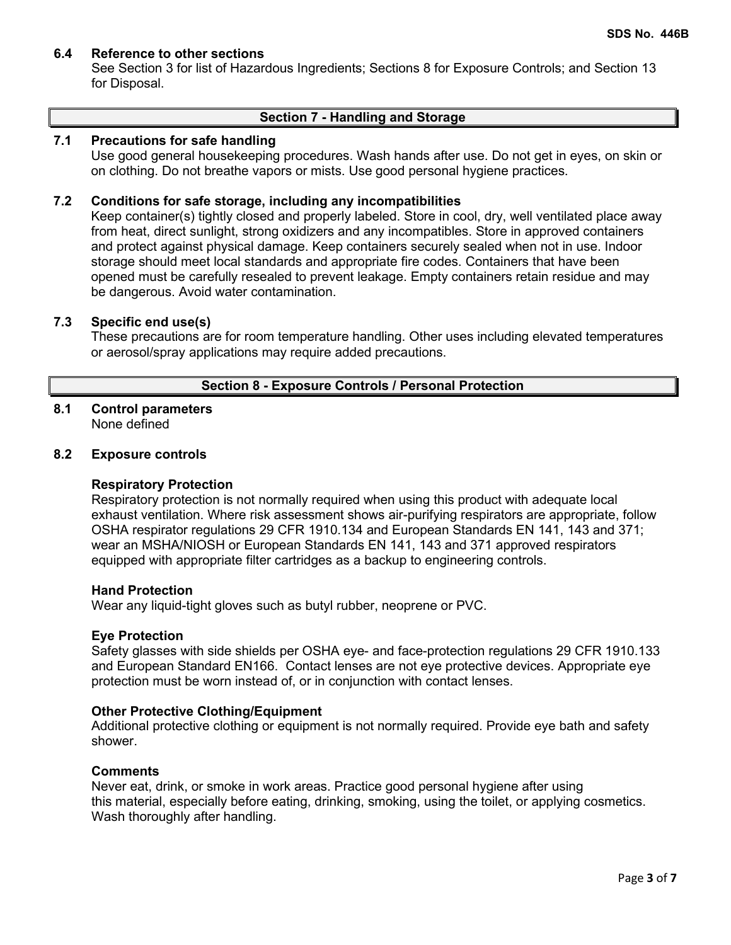# **6.4 Reference to other sections**

See Section 3 for list of Hazardous Ingredients; Sections 8 for Exposure Controls; and Section 13 for Disposal.

### **Section 7 - Handling and Storage**

# **7.1 Precautions for safe handling**

Use good general housekeeping procedures. Wash hands after use. Do not get in eyes, on skin or on clothing. Do not breathe vapors or mists. Use good personal hygiene practices.

## **7.2 Conditions for safe storage, including any incompatibilities**

Keep container(s) tightly closed and properly labeled. Store in cool, dry, well ventilated place away from heat, direct sunlight, strong oxidizers and any incompatibles. Store in approved containers and protect against physical damage. Keep containers securely sealed when not in use. Indoor storage should meet local standards and appropriate fire codes. Containers that have been opened must be carefully resealed to prevent leakage. Empty containers retain residue and may be dangerous. Avoid water contamination.

# **7.3 Specific end use(s)**

These precautions are for room temperature handling. Other uses including elevated temperatures or aerosol/spray applications may require added precautions.

# **Section 8 - Exposure Controls / Personal Protection**

#### **8.1 Control parameters** None defined

## **8.2 Exposure controls**

#### **Respiratory Protection**

Respiratory protection is not normally required when using this product with adequate local exhaust ventilation. Where risk assessment shows air-purifying respirators are appropriate, follow OSHA respirator regulations 29 CFR 1910.134 and European Standards EN 141, 143 and 371; wear an MSHA/NIOSH or European Standards EN 141, 143 and 371 approved respirators equipped with appropriate filter cartridges as a backup to engineering controls.

### **Hand Protection**

Wear any liquid-tight gloves such as butyl rubber, neoprene or PVC.

#### **Eye Protection**

Safety glasses with side shields per OSHA eye- and face-protection regulations 29 CFR 1910.133 and European Standard EN166. Contact lenses are not eye protective devices. Appropriate eye protection must be worn instead of, or in conjunction with contact lenses.

#### **Other Protective Clothing/Equipment**

Additional protective clothing or equipment is not normally required. Provide eye bath and safety shower.

#### **Comments**

Never eat, drink, or smoke in work areas. Practice good personal hygiene after using this material, especially before eating, drinking, smoking, using the toilet, or applying cosmetics. Wash thoroughly after handling.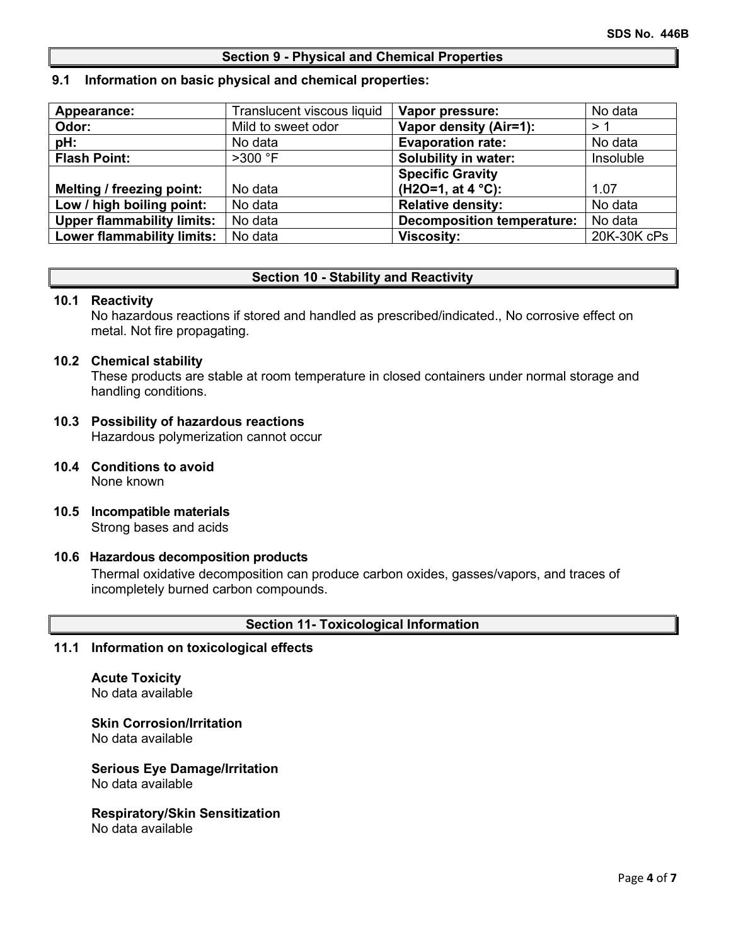## **Section 9 - Physical and Chemical Properties**

#### **9.1 Information on basic physical and chemical properties:**

| Appearance:                       | Translucent viscous liquid | Vapor pressure:                   | No data     |
|-----------------------------------|----------------------------|-----------------------------------|-------------|
| Odor:                             | Mild to sweet odor         | Vapor density (Air=1):            | >1          |
| pH:                               | No data                    | <b>Evaporation rate:</b>          | No data     |
| <b>Flash Point:</b>               | $>300$ °F                  | <b>Solubility in water:</b>       | Insoluble   |
|                                   |                            | <b>Specific Gravity</b>           |             |
| Melting / freezing point:         | No data                    | $(H2O=1, at 4 °C)$ :              | 1.07        |
| Low / high boiling point:         | No data                    | <b>Relative density:</b>          | No data     |
| <b>Upper flammability limits:</b> | No data                    | <b>Decomposition temperature:</b> | No data     |
| <b>Lower flammability limits:</b> | No data                    | <b>Viscosity:</b>                 | 20K-30K cPs |

## **Section 10 - Stability and Reactivity**

#### **10.1 Reactivity**

No hazardous reactions if stored and handled as prescribed/indicated., No corrosive effect on metal. Not fire propagating.

#### **10.2 Chemical stability**

These products are stable at room temperature in closed containers under normal storage and handling conditions.

# **10.3 Possibility of hazardous reactions**

Hazardous polymerization cannot occur

- **10.4 Conditions to avoid** None known
- **10.5 Incompatible materials** Strong bases and acids

## **10.6 Hazardous decomposition products**

Thermal oxidative decomposition can produce carbon oxides, gasses/vapors, and traces of incompletely burned carbon compounds.

## **Section 11- Toxicological Information**

# **11.1 Information on toxicological effects**

#### **Acute Toxicity** No data available

**Skin Corrosion/Irritation** No data available

#### **Serious Eye Damage/Irritation** No data available

#### **Respiratory/Skin Sensitization** No data available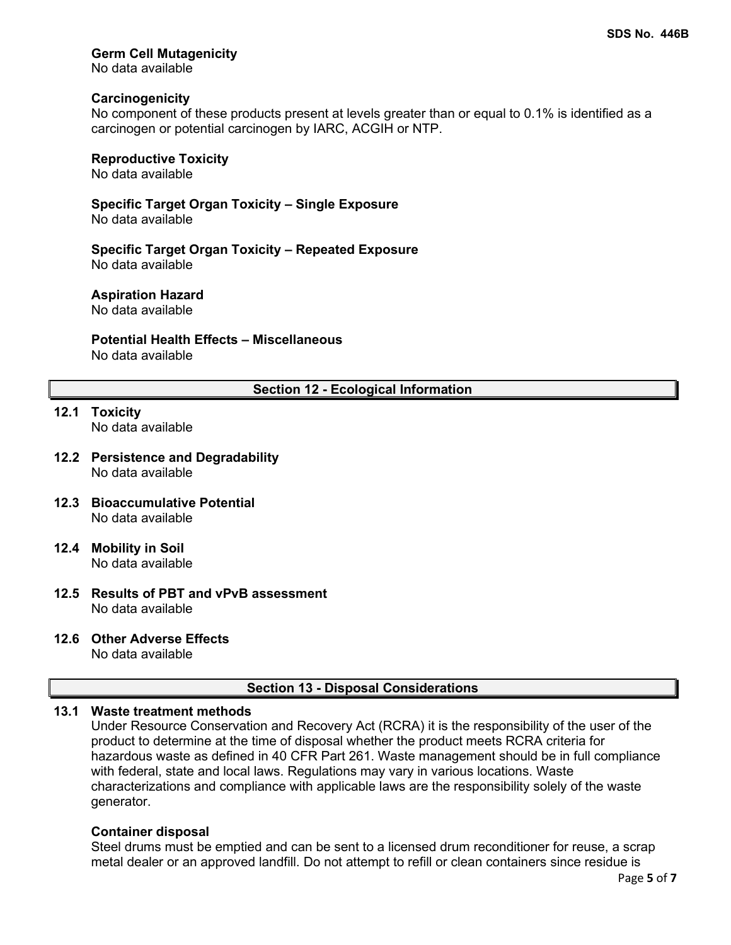# **Germ Cell Mutagenicity**

No data available

### **Carcinogenicity**

No component of these products present at levels greater than or equal to 0.1% is identified as a carcinogen or potential carcinogen by IARC, ACGIH or NTP.

# **Reproductive Toxicity**

No data available

**Specific Target Organ Toxicity – Single Exposure** No data available

**Specific Target Organ Toxicity – Repeated Exposure** No data available

## **Aspiration Hazard**

No data available

# **Potential Health Effects – Miscellaneous**

No data available

# **Section 12 - Ecological Information**

- **12.1 Toxicity** No data available
- **12.2 Persistence and Degradability** No data available
- **12.3 Bioaccumulative Potential** No data available
- **12.4 Mobility in Soil** No data available
- **12.5 Results of PBT and vPvB assessment** No data available

# **12.6 Other Adverse Effects**

No data available

## **Section 13 - Disposal Considerations**

# **13.1 Waste treatment methods**

Under Resource Conservation and Recovery Act (RCRA) it is the responsibility of the user of the product to determine at the time of disposal whether the product meets RCRA criteria for hazardous waste as defined in 40 CFR Part 261. Waste management should be in full compliance with federal, state and local laws. Regulations may vary in various locations. Waste characterizations and compliance with applicable laws are the responsibility solely of the waste generator.

#### **Container disposal**

Steel drums must be emptied and can be sent to a licensed drum reconditioner for reuse, a scrap metal dealer or an approved landfill. Do not attempt to refill or clean containers since residue is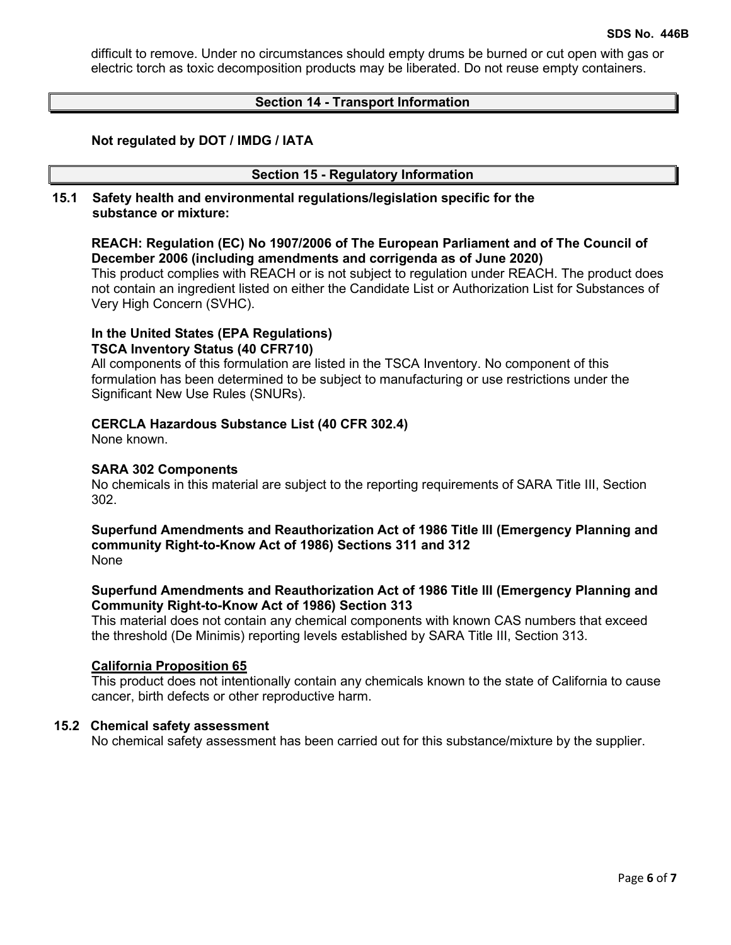difficult to remove. Under no circumstances should empty drums be burned or cut open with gas or electric torch as toxic decomposition products may be liberated. Do not reuse empty containers.

# **Section 14 - Transport Information**

# **Not regulated by DOT / IMDG / IATA**

## **Section 15 - Regulatory Information**

**15.1 Safety health and environmental regulations/legislation specific for the substance or mixture:**

# **REACH: Regulation (EC) No 1907/2006 of The European Parliament and of The Council of December 2006 (including amendments and corrigenda as of June 2020)**

This product complies with REACH or is not subject to regulation under REACH. The product does not contain an ingredient listed on either the Candidate List or Authorization List for Substances of Very High Concern (SVHC).

# **In the United States (EPA Regulations)**

# **TSCA Inventory Status (40 CFR710)**

All components of this formulation are listed in the TSCA Inventory. No component of this formulation has been determined to be subject to manufacturing or use restrictions under the Significant New Use Rules (SNURs).

## **CERCLA Hazardous Substance List (40 CFR 302.4)**

None known.

## **SARA 302 Components**

No chemicals in this material are subject to the reporting requirements of SARA Title III, Section 302.

#### **Superfund Amendments and Reauthorization Act of 1986 Title lll (Emergency Planning and community Right-to-Know Act of 1986) Sections 311 and 312** None

# **Superfund Amendments and Reauthorization Act of 1986 Title lll (Emergency Planning and Community Right-to-Know Act of 1986) Section 313**

This material does not contain any chemical components with known CAS numbers that exceed the threshold (De Minimis) reporting levels established by SARA Title III, Section 313.

#### **California Proposition 65**

This product does not intentionally contain any chemicals known to the state of California to cause cancer, birth defects or other reproductive harm.

#### **15.2 Chemical safety assessment**

No chemical safety assessment has been carried out for this substance/mixture by the supplier.